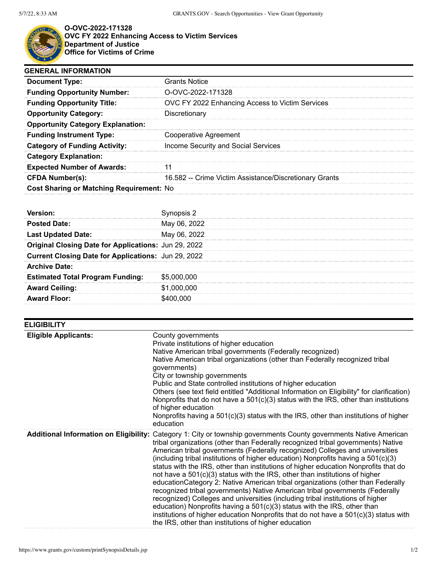

**O-OVC-2022-171328 OVC FY 2022 Enhancing Access to Victim Services Department of Justice Office for Victims of Crime**

| <b>GENERAL INFORMATION</b>               |                                                        |  |
|------------------------------------------|--------------------------------------------------------|--|
| <b>Document Type:</b>                    | <b>Grants Notice</b>                                   |  |
| <b>Funding Opportunity Number:</b>       | O-OVC-2022-171328                                      |  |
| <b>Funding Opportunity Title:</b>        | OVC FY 2022 Enhancing Access to Victim Services        |  |
| <b>Opportunity Category:</b>             | Discretionary                                          |  |
| <b>Opportunity Category Explanation:</b> |                                                        |  |
| <b>Funding Instrument Type:</b>          | <b>Cooperative Agreement</b>                           |  |
| <b>Category of Funding Activity:</b>     | Income Security and Social Services                    |  |
| <b>Category Explanation:</b>             |                                                        |  |
| <b>Expected Number of Awards:</b>        |                                                        |  |
| <b>CFDA Number(s):</b>                   | 16.582 -- Crime Victim Assistance/Discretionary Grants |  |
| Cost Sharing or Matching Requirement: No |                                                        |  |

| <b>Posted Date:</b>                                  | May 06, 2022 |
|------------------------------------------------------|--------------|
| <b>Last Updated Date:</b>                            | May 06, 2022 |
| Original Closing Date for Applications: Jun 29, 2022 |              |
| Current Closing Date for Applications: Jun 29, 2022  |              |
| <b>Archive Date:</b>                                 |              |
| <b>Estimated Total Program Funding:</b>              | \$5,000,000  |
| <b>Award Ceiling:</b>                                | \$1,000,000  |
| <b>Award Floor:</b>                                  | \$400.000    |

| <b>ELIGIBILITY</b>                            |                                                                                                                                                                                                                                                                                                                                                                                                                                                                                                                                                                                                                                                                                                                                                                                                                                                                                                                                                                                                  |
|-----------------------------------------------|--------------------------------------------------------------------------------------------------------------------------------------------------------------------------------------------------------------------------------------------------------------------------------------------------------------------------------------------------------------------------------------------------------------------------------------------------------------------------------------------------------------------------------------------------------------------------------------------------------------------------------------------------------------------------------------------------------------------------------------------------------------------------------------------------------------------------------------------------------------------------------------------------------------------------------------------------------------------------------------------------|
| <b>Eligible Applicants:</b>                   | County governments<br>Private institutions of higher education<br>Native American tribal governments (Federally recognized)<br>Native American tribal organizations (other than Federally recognized tribal<br>governments)<br>City or township governments<br>Public and State controlled institutions of higher education<br>Others (see text field entitled "Additional Information on Eligibility" for clarification)<br>Nonprofits that do not have a $501(c)(3)$ status with the IRS, other than institutions<br>of higher education<br>Nonprofits having a $501(c)(3)$ status with the IRS, other than institutions of higher<br>education                                                                                                                                                                                                                                                                                                                                                |
| <b>Additional Information on Eligibility:</b> | Category 1: City or township governments County governments Native American<br>tribal organizations (other than Federally recognized tribal governments) Native<br>American tribal governments (Federally recognized) Colleges and universities<br>(including tribal institutions of higher education) Nonprofits having a 501(c)(3)<br>status with the IRS, other than institutions of higher education Nonprofits that do<br>not have a 501(c)(3) status with the IRS, other than institutions of higher<br>education Category 2: Native American tribal organizations (other than Federally<br>recognized tribal governments) Native American tribal governments (Federally<br>recognized) Colleges and universities (including tribal institutions of higher<br>education) Nonprofits having a $501(c)(3)$ status with the IRS, other than<br>institutions of higher education Nonprofits that do not have a $501(c)(3)$ status with<br>the IRS, other than institutions of higher education |